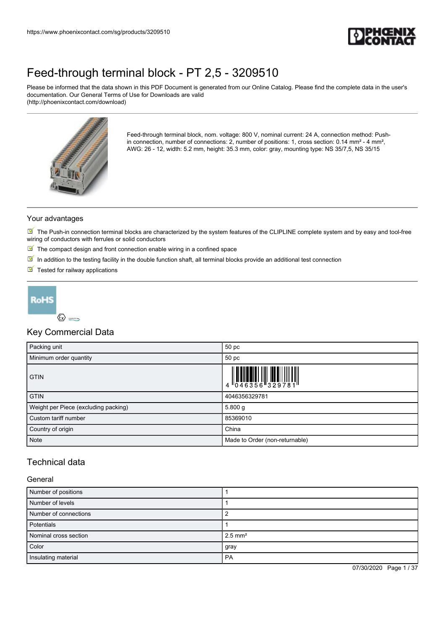

Please be informed that the data shown in this PDF Document is generated from our Online Catalog. Please find the complete data in the user's documentation. Our General Terms of Use for Downloads are valid (http://phoenixcontact.com/download)



Feed-through terminal block, nom. voltage: 800 V, nominal current: 24 A, connection method: Pushin connection, number of connections: 2, number of positions: 1, cross section: 0.14 mm<sup>2</sup> - 4 mm<sup>2</sup>, AWG: 26 - 12, width: 5.2 mm, height: 35.3 mm, color: gray, mounting type: NS 35/7,5, NS 35/15

#### Your advantages

 $\blacksquare$  The Push-in connection terminal blocks are characterized by the system features of the CLIPLINE complete system and by easy and tool-free wiring of conductors with ferrules or solid conductors

- $\blacksquare$  The compact design and front connection enable wiring in a confined space
- $\boxed{\blacksquare}$  In addition to the testing facility in the double function shaft, all terminal blocks provide an additional test connection
- $\blacksquare$  Tested for railway applications



### Key Commercial Data

| Packing unit                         | 50 pc                          |
|--------------------------------------|--------------------------------|
| Minimum order quantity               | 50 pc                          |
| <b>GTIN</b>                          |                                |
| <b>GTIN</b>                          | 4046356329781                  |
| Weight per Piece (excluding packing) | 5.800 g                        |
| Custom tariff number                 | 85369010                       |
| Country of origin                    | China                          |
| Note                                 | Made to Order (non-returnable) |

### Technical data

#### General

| Number of positions   |                       |
|-----------------------|-----------------------|
| Number of levels      |                       |
| Number of connections |                       |
| Potentials            |                       |
| Nominal cross section | $2.5$ mm <sup>2</sup> |
| Color                 | gray                  |
| Insulating material   | <b>PA</b>             |

07/30/2020 Page 1 / 37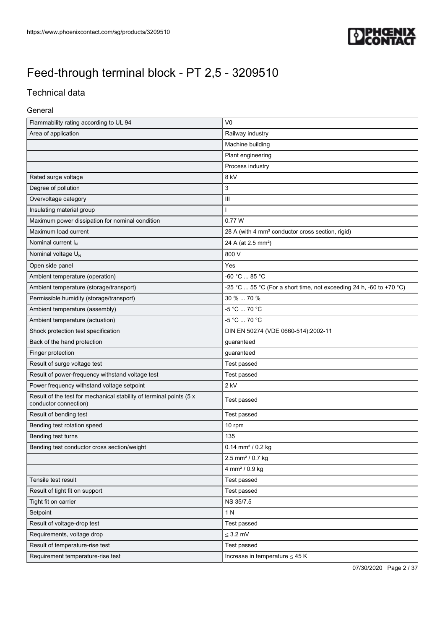

### Technical data

#### General

| Flammability rating according to UL 94                                                       | V <sub>0</sub>                                                      |
|----------------------------------------------------------------------------------------------|---------------------------------------------------------------------|
| Area of application                                                                          | Railway industry                                                    |
|                                                                                              | Machine building                                                    |
|                                                                                              | Plant engineering                                                   |
|                                                                                              | Process industry                                                    |
| Rated surge voltage                                                                          | 8 kV                                                                |
| Degree of pollution                                                                          | 3                                                                   |
| Overvoltage category                                                                         | $\mathbf{III}$                                                      |
| Insulating material group                                                                    | ı                                                                   |
| Maximum power dissipation for nominal condition                                              | 0.77 W                                                              |
| Maximum load current                                                                         | 28 A (with 4 mm <sup>2</sup> conductor cross section, rigid)        |
| Nominal current I <sub>N</sub>                                                               | 24 A (at 2.5 mm <sup>2</sup> )                                      |
| Nominal voltage U <sub>N</sub>                                                               | 800 V                                                               |
| Open side panel                                                                              | Yes                                                                 |
| Ambient temperature (operation)                                                              | -60 °C  85 °C                                                       |
| Ambient temperature (storage/transport)                                                      | -25 °C  55 °C (For a short time, not exceeding 24 h, -60 to +70 °C) |
| Permissible humidity (storage/transport)                                                     | 30 %  70 %                                                          |
| Ambient temperature (assembly)                                                               | -5 °C  70 °C                                                        |
| Ambient temperature (actuation)                                                              | -5 °C  70 °C                                                        |
| Shock protection test specification                                                          | DIN EN 50274 (VDE 0660-514):2002-11                                 |
| Back of the hand protection                                                                  | guaranteed                                                          |
| Finger protection                                                                            | guaranteed                                                          |
| Result of surge voltage test                                                                 | Test passed                                                         |
| Result of power-frequency withstand voltage test                                             | Test passed                                                         |
| Power frequency withstand voltage setpoint                                                   | 2 kV                                                                |
| Result of the test for mechanical stability of terminal points (5 x<br>conductor connection) | Test passed                                                         |
| Result of bending test                                                                       | Test passed                                                         |
| Bending test rotation speed                                                                  | 10 rpm                                                              |
| Bending test turns                                                                           | 135                                                                 |
| Bending test conductor cross section/weight                                                  | 0.14 mm <sup>2</sup> / 0.2 kg                                       |
|                                                                                              | 2.5 mm <sup>2</sup> / 0.7 kg                                        |
|                                                                                              | 4 mm <sup>2</sup> / 0.9 kg                                          |
| Tensile test result                                                                          | Test passed                                                         |
| Result of tight fit on support                                                               | Test passed                                                         |
| Tight fit on carrier                                                                         | NS 35/7.5                                                           |
| Setpoint                                                                                     | 1 N                                                                 |
| Result of voltage-drop test                                                                  | Test passed                                                         |
| Requirements, voltage drop                                                                   | $\leq$ 3.2 mV                                                       |
| Result of temperature-rise test                                                              | Test passed                                                         |
| Requirement temperature-rise test                                                            | Increase in temperature $\leq 45$ K                                 |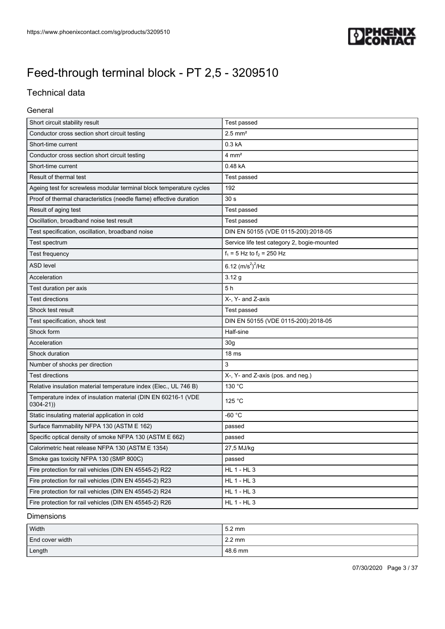

### Technical data

#### General

| Short circuit stability result                                                | Test passed                                 |
|-------------------------------------------------------------------------------|---------------------------------------------|
| Conductor cross section short circuit testing                                 | $2.5$ mm <sup>2</sup>                       |
| Short-time current                                                            | 0.3 <sub>kA</sub>                           |
| Conductor cross section short circuit testing                                 | $4 \text{ mm}^2$                            |
| Short-time current                                                            | 0.48 kA                                     |
| Result of thermal test                                                        | Test passed                                 |
| Ageing test for screwless modular terminal block temperature cycles           | 192                                         |
| Proof of thermal characteristics (needle flame) effective duration            | 30 <sub>s</sub>                             |
| Result of aging test                                                          | Test passed                                 |
| Oscillation, broadband noise test result                                      | Test passed                                 |
| Test specification, oscillation, broadband noise                              | DIN EN 50155 (VDE 0115-200):2018-05         |
| Test spectrum                                                                 | Service life test category 2, bogie-mounted |
| Test frequency                                                                | $f_1 = 5$ Hz to $f_2 = 250$ Hz              |
| <b>ASD level</b>                                                              | 6.12 $(m/s^2)^2$ /Hz                        |
| Acceleration                                                                  | 3.12g                                       |
| Test duration per axis                                                        | 5h                                          |
| <b>Test directions</b>                                                        | X-, Y- and Z-axis                           |
| Shock test result                                                             | Test passed                                 |
| Test specification, shock test                                                | DIN EN 50155 (VDE 0115-200):2018-05         |
| Shock form                                                                    | Half-sine                                   |
| Acceleration                                                                  | 30 <sub>q</sub>                             |
| Shock duration                                                                | 18 ms                                       |
| Number of shocks per direction                                                | 3                                           |
| <b>Test directions</b>                                                        | X-, Y- and Z-axis (pos. and neg.)           |
| Relative insulation material temperature index (Elec., UL 746 B)              | 130 °C                                      |
| Temperature index of insulation material (DIN EN 60216-1 (VDE<br>$0304 - 21)$ | 125 °C                                      |
| Static insulating material application in cold                                | -60 °C                                      |
| Surface flammability NFPA 130 (ASTM E 162)                                    | passed                                      |
| Specific optical density of smoke NFPA 130 (ASTM E 662)                       | passed                                      |
| Calorimetric heat release NFPA 130 (ASTM E 1354)                              | 27,5 MJ/kg                                  |
| Smoke gas toxicity NFPA 130 (SMP 800C)                                        | passed                                      |
| Fire protection for rail vehicles (DIN EN 45545-2) R22                        | <b>HL 1 - HL 3</b>                          |
| Fire protection for rail vehicles (DIN EN 45545-2) R23                        | <b>HL 1 - HL 3</b>                          |
| Fire protection for rail vehicles (DIN EN 45545-2) R24                        | <b>HL 1 - HL 3</b>                          |
| Fire protection for rail vehicles (DIN EN 45545-2) R26                        | HL 1 - HL 3                                 |

#### Dimensions

| Width           | $5.2 \text{ mm}$ |
|-----------------|------------------|
| End cover width | $2.2 \text{ mm}$ |
| Length          | 48.6 mm          |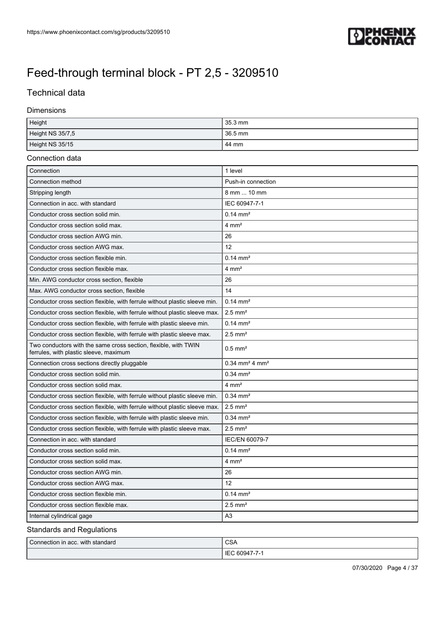

### Technical data

#### Dimensions

| Height           | $35.3$ mm |
|------------------|-----------|
| Height NS 35/7,5 | $36.5$ mm |
| Height NS 35/15  | 44 mm     |

#### Connection data

| Connection                                                                                                | 1 level                                  |
|-----------------------------------------------------------------------------------------------------------|------------------------------------------|
| Connection method                                                                                         | Push-in connection                       |
| Stripping length                                                                                          | 8 mm  10 mm                              |
| Connection in acc. with standard                                                                          | IEC 60947-7-1                            |
| Conductor cross section solid min.                                                                        | $0.14 \text{ mm}^2$                      |
| Conductor cross section solid max.                                                                        | $4 \text{ mm}^2$                         |
| Conductor cross section AWG min.                                                                          | 26                                       |
| Conductor cross section AWG max.                                                                          | 12                                       |
| Conductor cross section flexible min.                                                                     | $0.14 \, \text{mm}^2$                    |
| Conductor cross section flexible max.                                                                     | $4 \text{ mm}^2$                         |
| Min. AWG conductor cross section, flexible                                                                | 26                                       |
| Max. AWG conductor cross section, flexible                                                                | 14                                       |
| Conductor cross section flexible, with ferrule without plastic sleeve min.                                | $0.14 \text{ mm}^2$                      |
| Conductor cross section flexible, with ferrule without plastic sleeve max.                                | $2.5$ mm <sup>2</sup>                    |
| Conductor cross section flexible, with ferrule with plastic sleeve min.                                   | $0.14 \, \text{mm}^2$                    |
| Conductor cross section flexible, with ferrule with plastic sleeve max.                                   | $2.5$ mm <sup>2</sup>                    |
| Two conductors with the same cross section, flexible, with TWIN<br>ferrules, with plastic sleeve, maximum | $0.5$ mm <sup>2</sup>                    |
| Connection cross sections directly pluggable                                                              | $0.34$ mm <sup>2</sup> 4 mm <sup>2</sup> |
| Conductor cross section solid min.                                                                        | $0.34 \, \text{mm}^2$                    |
| Conductor cross section solid max.                                                                        | $4 \text{ mm}^2$                         |
| Conductor cross section flexible, with ferrule without plastic sleeve min.                                | $0.34$ mm <sup>2</sup>                   |
| Conductor cross section flexible, with ferrule without plastic sleeve max.                                | $2.5$ mm <sup>2</sup>                    |
| Conductor cross section flexible, with ferrule with plastic sleeve min.                                   | $0.34$ mm <sup>2</sup>                   |
| Conductor cross section flexible, with ferrule with plastic sleeve max.                                   | $2.5$ mm <sup>2</sup>                    |
| Connection in acc. with standard                                                                          | IEC/EN 60079-7                           |
| Conductor cross section solid min.                                                                        | $0.14 \text{ mm}^2$                      |
| Conductor cross section solid max.                                                                        | $4 \, \text{mm}^2$                       |
| Conductor cross section AWG min.                                                                          | 26                                       |
| Conductor cross section AWG max.                                                                          | 12                                       |
| Conductor cross section flexible min.                                                                     | $0.14 \, \text{mm}^2$                    |
| Conductor cross section flexible max.                                                                     | $2.5$ mm <sup>2</sup>                    |
| Internal cylindrical gage                                                                                 | A <sub>3</sub>                           |

### Standards and Regulations

| Connection in acc. with standard | $\sim$<br>USA         |
|----------------------------------|-----------------------|
|                                  | -IF<br>60Q4.<br>- - - |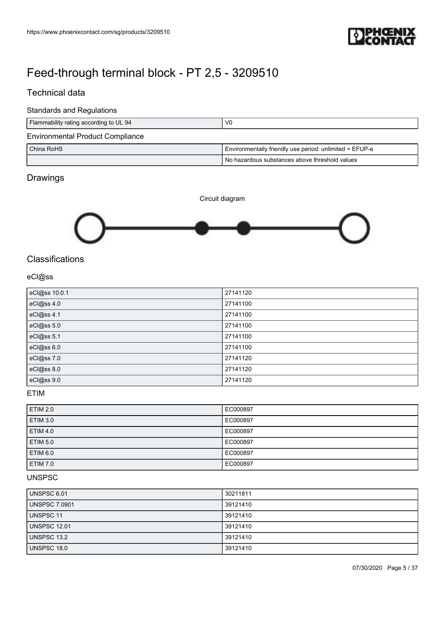

### Technical data

#### Standards and Regulations

| Flammability rating according to UL 94  | V <sub>0</sub>                                          |
|-----------------------------------------|---------------------------------------------------------|
| <b>Environmental Product Compliance</b> |                                                         |
| l China RoHS l                          | Environmentally friendly use period: unlimited = EFUP-e |
|                                         | No hazardous substances above threshold values          |

### Drawings



### **Classifications**

### eCl@ss

| eCl@ss 10.0.1 | 27141120 |
|---------------|----------|
| eCl@ss 4.0    | 27141100 |
| eCl@ss 4.1    | 27141100 |
| eCl@ss 5.0    | 27141100 |
| eCl@ss 5.1    | 27141100 |
| eCl@ss 6.0    | 27141100 |
| eCl@ss 7.0    | 27141120 |
| eCl@ss 8.0    | 27141120 |
| eCl@ss 9.0    | 27141120 |

### ETIM

| <b>ETIM 2.0</b> | EC000897 |
|-----------------|----------|
| <b>ETIM 3.0</b> | EC000897 |
|                 |          |
| <b>ETIM 4.0</b> | EC000897 |
| <b>ETIM 5.0</b> | EC000897 |
| <b>ETIM 6.0</b> | EC000897 |
| <b>ETIM 7.0</b> | EC000897 |

### UNSPSC

| UNSPSC 6.01          | 30211811 |
|----------------------|----------|
| <b>UNSPSC 7.0901</b> | 39121410 |
| <b>UNSPSC 11</b>     | 39121410 |
| <b>UNSPSC 12.01</b>  | 39121410 |
| UNSPSC 13.2          | 39121410 |
| UNSPSC 18.0          | 39121410 |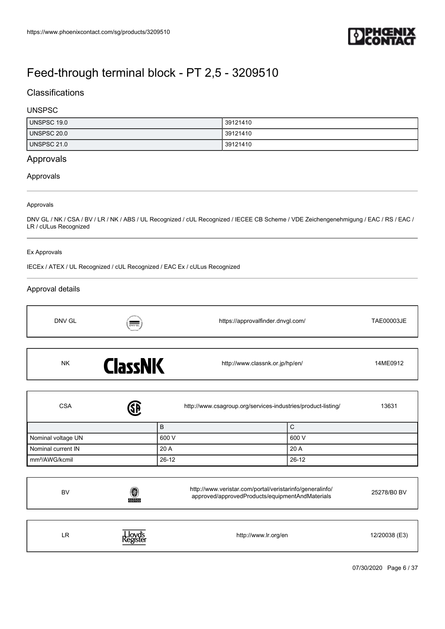

### **Classifications**

#### UNSPSC

| UNSPSC 19.0 | 39121410 |
|-------------|----------|
| UNSPSC 20.0 | 39121410 |
| UNSPSC 21.0 | 39121410 |

### Approvals

#### Approvals

#### Approvals

DNV GL / NK / CSA / BV / LR / NK / ABS / UL Recognized / cUL Recognized / IECEE CB Scheme / VDE Zeichengenehmigung / EAC / RS / EAC / LR / cULus Recognized

#### Ex Approvals

IECEx / ATEX / UL Recognized / cUL Recognized / EAC Ex / cULus Recognized

#### Approval details

| DNV GL    | $\overline{\overline{\phantom{a}}\phantom{a}}$<br>MARTINE | https://approvalfinder.dnvgl.com/ | TAE00003JE |
|-----------|-----------------------------------------------------------|-----------------------------------|------------|
| <b>NK</b> | <b>ClassNK</b>                                            | http://www.classnk.or.jp/hp/en/   | 14ME0912   |

| <b>J</b><br><b>CSA</b>     | http://www.csagroup.org/services-industries/product-listing/ | 13631     |
|----------------------------|--------------------------------------------------------------|-----------|
|                            | в                                                            | ◡         |
| Nominal voltage UN         | 600 V                                                        | 600 V     |
| Nominal current IN         | 20 A                                                         | 20 A      |
| mm <sup>2</sup> /AWG/kcmil | $26 - 12$                                                    | $26 - 12$ |

| BV | 0<br><b>BUREAU</b>  | http://www.veristar.com/portal/veristarinfo/generalinfo/<br>approved/approvedProducts/equipmentAndMaterials | 25278/B0 BV   |
|----|---------------------|-------------------------------------------------------------------------------------------------------------|---------------|
| LR | Lloyd's<br>Register | http://www.lr.org/en                                                                                        | 12/20038 (E3) |

07/30/2020 Page 6 / 37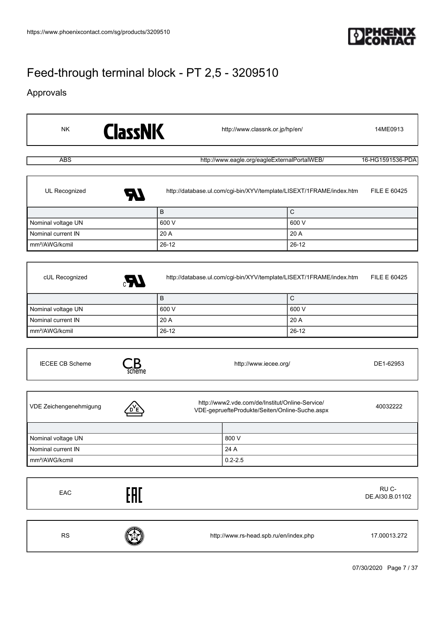

### Approvals

| <b>NK</b>                            | <b>ClassNK</b> | http://www.classnk.or.jp/hp/en/              |                                                                                                   |                                                                                             |                          |
|--------------------------------------|----------------|----------------------------------------------|---------------------------------------------------------------------------------------------------|---------------------------------------------------------------------------------------------|--------------------------|
| <b>ABS</b>                           |                | http://www.eagle.org/eagleExternalPortalWEB/ | 16-HG1591536-PDA                                                                                  |                                                                                             |                          |
| UL Recognized                        |                |                                              |                                                                                                   | http://database.ul.com/cgi-bin/XYV/template/LISEXT/1FRAME/index.htm                         | <b>FILE E 60425</b>      |
|                                      | $\sf B$        |                                              |                                                                                                   | ${\bf C}$                                                                                   |                          |
| Nominal voltage UN                   |                | 600 V                                        |                                                                                                   | 600 V                                                                                       |                          |
| Nominal current IN                   |                | 20 A                                         |                                                                                                   | 20 A                                                                                        |                          |
| mm <sup>2</sup> /AWG/kcmil           |                | $26 - 12$                                    |                                                                                                   | $26 - 12$                                                                                   |                          |
| cUL Recognized<br>Nominal voltage UN | LR.<br>$\sf B$ | 600 V                                        |                                                                                                   | http://database.ul.com/cgi-bin/XYV/template/LISEXT/1FRAME/index.htm<br>$\mathsf C$<br>600 V | FILE E 60425             |
| Nominal current IN                   |                | 20 A                                         |                                                                                                   | 20 A                                                                                        |                          |
| mm <sup>2</sup> /AWG/kcmil           |                | $26 - 12$                                    |                                                                                                   | $26 - 12$                                                                                   |                          |
| <b>IECEE CB Scheme</b>               |                |                                              | http://www.iecee.org/                                                                             |                                                                                             | DE1-62953                |
| VDE Zeichengenehmigung               |                |                                              | http://www2.vde.com/de/Institut/Online-Service/<br>VDE-gepruefteProdukte/Seiten/Online-Suche.aspx |                                                                                             | 40032222                 |
| Nominal voltage UN                   |                |                                              | 800 V                                                                                             |                                                                                             |                          |
| Nominal current IN                   |                |                                              | 24 A                                                                                              |                                                                                             |                          |
| mm <sup>2</sup> /AWG/kcmil           |                |                                              | $0.2 - 2.5$                                                                                       |                                                                                             |                          |
| EAC                                  | EAC            |                                              |                                                                                                   |                                                                                             | RU C-<br>DE.AI30.B.01102 |
| ${\sf RS}$                           |                | http://www.rs-head.spb.ru/en/index.php       |                                                                                                   |                                                                                             | 17.00013.272             |
|                                      |                |                                              |                                                                                                   |                                                                                             | 07/30/2020 Page 7 / 37   |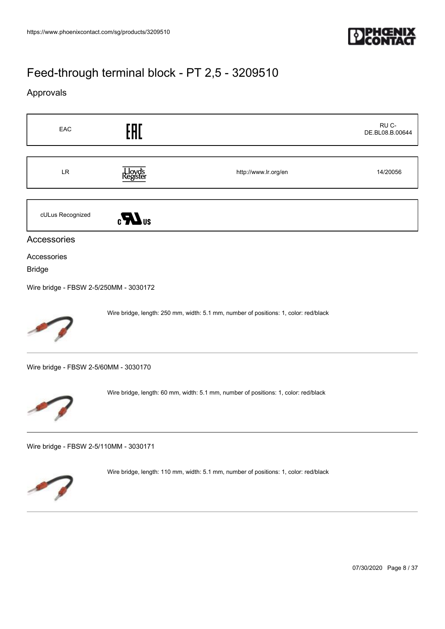

### Approvals



07/30/2020 Page 8 / 37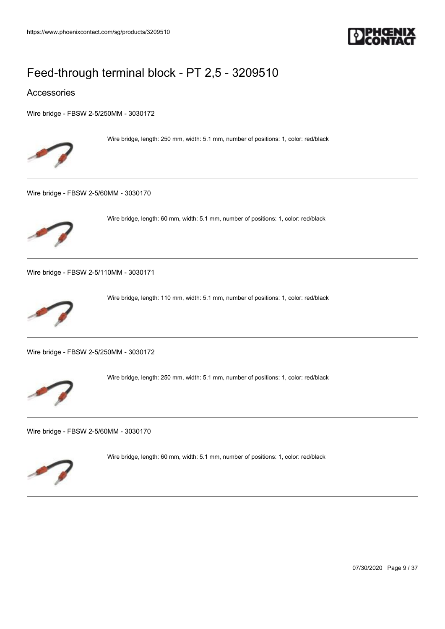

#### Accessories

[Wire bridge - FBSW 2-5/250MM - 3030172](https://www.phoenixcontact.com/sg/products/3030172)



Wire bridge, length: 250 mm, width: 5.1 mm, number of positions: 1, color: red/black

[Wire bridge - FBSW 2-5/60MM - 3030170](https://www.phoenixcontact.com/sg/products/3030170)



Wire bridge, length: 60 mm, width: 5.1 mm, number of positions: 1, color: red/black

[Wire bridge - FBSW 2-5/110MM - 3030171](https://www.phoenixcontact.com/sg/products/3030171)



Wire bridge, length: 110 mm, width: 5.1 mm, number of positions: 1, color: red/black

[Wire bridge - FBSW 2-5/250MM - 3030172](https://www.phoenixcontact.com/sg/products/3030172)



Wire bridge, length: 250 mm, width: 5.1 mm, number of positions: 1, color: red/black

[Wire bridge - FBSW 2-5/60MM - 3030170](https://www.phoenixcontact.com/sg/products/3030170)



Wire bridge, length: 60 mm, width: 5.1 mm, number of positions: 1, color: red/black

07/30/2020 Page 9 / 37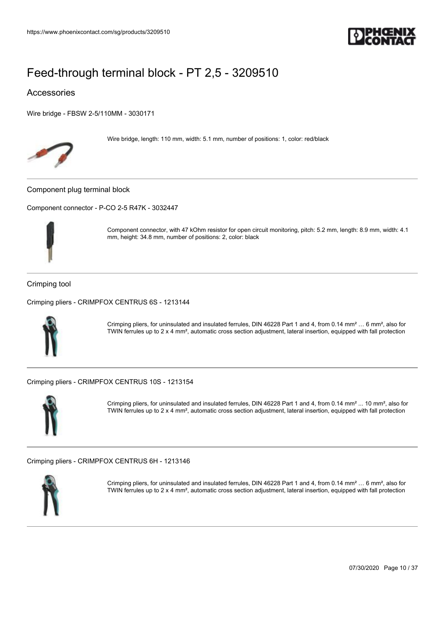

### Accessories

[Wire bridge - FBSW 2-5/110MM - 3030171](https://www.phoenixcontact.com/sg/products/3030171)



Wire bridge, length: 110 mm, width: 5.1 mm, number of positions: 1, color: red/black

Component plug terminal block

[Component connector - P-CO 2-5 R47K - 3032447](https://www.phoenixcontact.com/sg/products/3032447)



Component connector, with 47 kOhm resistor for open circuit monitoring, pitch: 5.2 mm, length: 8.9 mm, width: 4.1 mm, height: 34.8 mm, number of positions: 2, color: black

#### Crimping tool

[Crimping pliers - CRIMPFOX CENTRUS 6S - 1213144](https://www.phoenixcontact.com/sg/products/1213144)



Crimping pliers, for uninsulated and insulated ferrules, DIN 46228 Part 1 and 4, from 0.14 mm² … 6 mm², also for TWIN ferrules up to 2 x 4 mm², automatic cross section adjustment, lateral insertion, equipped with fall protection

[Crimping pliers - CRIMPFOX CENTRUS 10S - 1213154](https://www.phoenixcontact.com/sg/products/1213154)



Crimping pliers, for uninsulated and insulated ferrules, DIN 46228 Part 1 and 4, from 0.14 mm² ... 10 mm², also for TWIN ferrules up to 2 x 4 mm², automatic cross section adjustment, lateral insertion, equipped with fall protection

[Crimping pliers - CRIMPFOX CENTRUS 6H - 1213146](https://www.phoenixcontact.com/sg/products/1213146)



Crimping pliers, for uninsulated and insulated ferrules, DIN 46228 Part 1 and 4, from 0.14 mm² … 6 mm², also for TWIN ferrules up to 2 x 4 mm², automatic cross section adjustment, lateral insertion, equipped with fall protection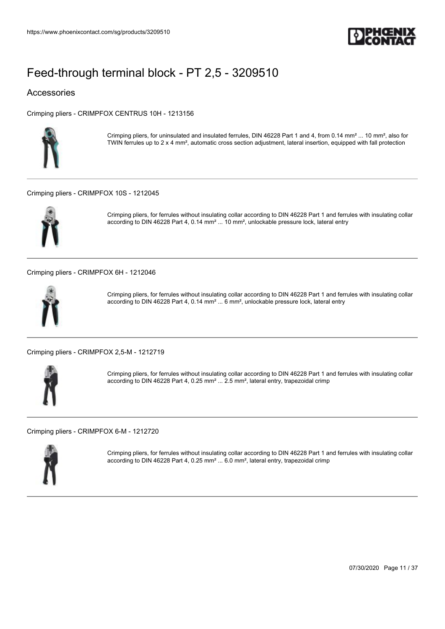

### Accessories

[Crimping pliers - CRIMPFOX CENTRUS 10H - 1213156](https://www.phoenixcontact.com/sg/products/1213156)



Crimping pliers, for uninsulated and insulated ferrules, DIN 46228 Part 1 and 4, from 0.14 mm² ... 10 mm², also for TWIN ferrules up to 2 x 4 mm², automatic cross section adjustment, lateral insertion, equipped with fall protection

#### [Crimping pliers - CRIMPFOX 10S - 1212045](https://www.phoenixcontact.com/sg/products/1212045)



Crimping pliers, for ferrules without insulating collar according to DIN 46228 Part 1 and ferrules with insulating collar according to DIN 46228 Part 4, 0.14 mm² ... 10 mm², unlockable pressure lock, lateral entry

[Crimping pliers - CRIMPFOX 6H - 1212046](https://www.phoenixcontact.com/sg/products/1212046)



Crimping pliers, for ferrules without insulating collar according to DIN 46228 Part 1 and ferrules with insulating collar according to DIN 46228 Part 4, 0.14 mm² ... 6 mm², unlockable pressure lock, lateral entry

[Crimping pliers - CRIMPFOX 2,5-M - 1212719](https://www.phoenixcontact.com/sg/products/1212719)



Crimping pliers, for ferrules without insulating collar according to DIN 46228 Part 1 and ferrules with insulating collar according to DIN 46228 Part 4, 0.25 mm² ... 2.5 mm², lateral entry, trapezoidal crimp

[Crimping pliers - CRIMPFOX 6-M - 1212720](https://www.phoenixcontact.com/sg/products/1212720)



Crimping pliers, for ferrules without insulating collar according to DIN 46228 Part 1 and ferrules with insulating collar according to DIN 46228 Part 4, 0.25 mm² ... 6.0 mm², lateral entry, trapezoidal crimp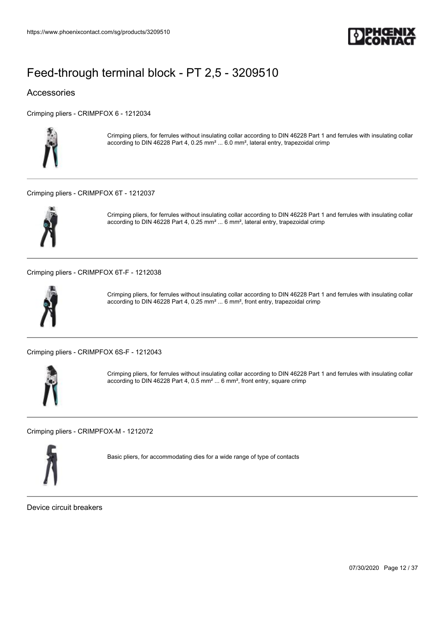

### Accessories

[Crimping pliers - CRIMPFOX 6 - 1212034](https://www.phoenixcontact.com/sg/products/1212034)



Crimping pliers, for ferrules without insulating collar according to DIN 46228 Part 1 and ferrules with insulating collar according to DIN 46228 Part 4, 0.25 mm² ... 6.0 mm², lateral entry, trapezoidal crimp

#### [Crimping pliers - CRIMPFOX 6T - 1212037](https://www.phoenixcontact.com/sg/products/1212037)



Crimping pliers, for ferrules without insulating collar according to DIN 46228 Part 1 and ferrules with insulating collar according to DIN 46228 Part 4, 0.25 mm² ... 6 mm², lateral entry, trapezoidal crimp

[Crimping pliers - CRIMPFOX 6T-F - 1212038](https://www.phoenixcontact.com/sg/products/1212038)



Crimping pliers, for ferrules without insulating collar according to DIN 46228 Part 1 and ferrules with insulating collar according to DIN 46228 Part 4, 0.25 mm² ... 6 mm², front entry, trapezoidal crimp

[Crimping pliers - CRIMPFOX 6S-F - 1212043](https://www.phoenixcontact.com/sg/products/1212043)



Crimping pliers, for ferrules without insulating collar according to DIN 46228 Part 1 and ferrules with insulating collar according to DIN 46228 Part 4, 0.5 mm² ... 6 mm², front entry, square crimp

[Crimping pliers - CRIMPFOX-M - 1212072](https://www.phoenixcontact.com/sg/products/1212072)



Basic pliers, for accommodating dies for a wide range of type of contacts

Device circuit breakers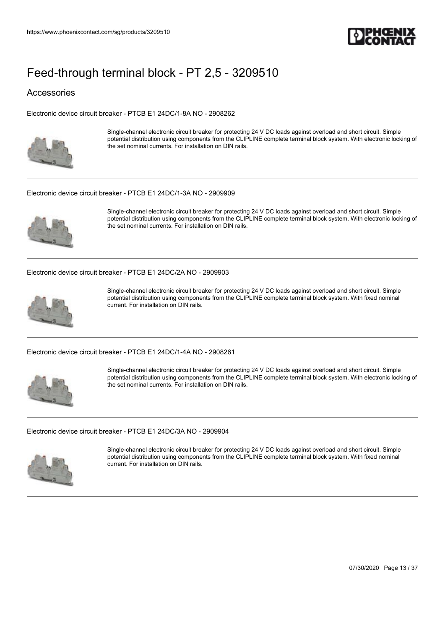

### Accessories

[Electronic device circuit breaker - PTCB E1 24DC/1-8A NO - 2908262](https://www.phoenixcontact.com/sg/products/2908262)



Single-channel electronic circuit breaker for protecting 24 V DC loads against overload and short circuit. Simple potential distribution using components from the CLIPLINE complete terminal block system. With electronic locking of the set nominal currents. For installation on DIN rails.

#### [Electronic device circuit breaker - PTCB E1 24DC/1-3A NO - 2909909](https://www.phoenixcontact.com/sg/products/2909909)



Single-channel electronic circuit breaker for protecting 24 V DC loads against overload and short circuit. Simple potential distribution using components from the CLIPLINE complete terminal block system. With electronic locking of the set nominal currents. For installation on DIN rails.

[Electronic device circuit breaker - PTCB E1 24DC/2A NO - 2909903](https://www.phoenixcontact.com/sg/products/2909903)



Single-channel electronic circuit breaker for protecting 24 V DC loads against overload and short circuit. Simple potential distribution using components from the CLIPLINE complete terminal block system. With fixed nominal current. For installation on DIN rails.

[Electronic device circuit breaker - PTCB E1 24DC/1-4A NO - 2908261](https://www.phoenixcontact.com/sg/products/2908261)



Single-channel electronic circuit breaker for protecting 24 V DC loads against overload and short circuit. Simple potential distribution using components from the CLIPLINE complete terminal block system. With electronic locking of the set nominal currents. For installation on DIN rails.

#### [Electronic device circuit breaker - PTCB E1 24DC/3A NO - 2909904](https://www.phoenixcontact.com/sg/products/2909904)



Single-channel electronic circuit breaker for protecting 24 V DC loads against overload and short circuit. Simple potential distribution using components from the CLIPLINE complete terminal block system. With fixed nominal current. For installation on DIN rails.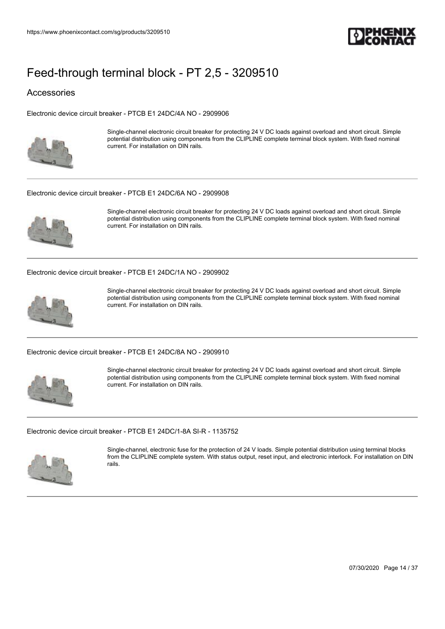

### Accessories

[Electronic device circuit breaker - PTCB E1 24DC/4A NO - 2909906](https://www.phoenixcontact.com/sg/products/2909906)



Single-channel electronic circuit breaker for protecting 24 V DC loads against overload and short circuit. Simple potential distribution using components from the CLIPLINE complete terminal block system. With fixed nominal current. For installation on DIN rails.

#### [Electronic device circuit breaker - PTCB E1 24DC/6A NO - 2909908](https://www.phoenixcontact.com/sg/products/2909908)



Single-channel electronic circuit breaker for protecting 24 V DC loads against overload and short circuit. Simple potential distribution using components from the CLIPLINE complete terminal block system. With fixed nominal current. For installation on DIN rails.

[Electronic device circuit breaker - PTCB E1 24DC/1A NO - 2909902](https://www.phoenixcontact.com/sg/products/2909902)



Single-channel electronic circuit breaker for protecting 24 V DC loads against overload and short circuit. Simple potential distribution using components from the CLIPLINE complete terminal block system. With fixed nominal current. For installation on DIN rails.

[Electronic device circuit breaker - PTCB E1 24DC/8A NO - 2909910](https://www.phoenixcontact.com/sg/products/2909910)



Single-channel electronic circuit breaker for protecting 24 V DC loads against overload and short circuit. Simple potential distribution using components from the CLIPLINE complete terminal block system. With fixed nominal current. For installation on DIN rails.

#### [Electronic device circuit breaker - PTCB E1 24DC/1-8A SI-R - 1135752](https://www.phoenixcontact.com/sg/products/1135752)



Single-channel, electronic fuse for the protection of 24 V loads. Simple potential distribution using terminal blocks from the CLIPLINE complete system. With status output, reset input, and electronic interlock. For installation on DIN rails.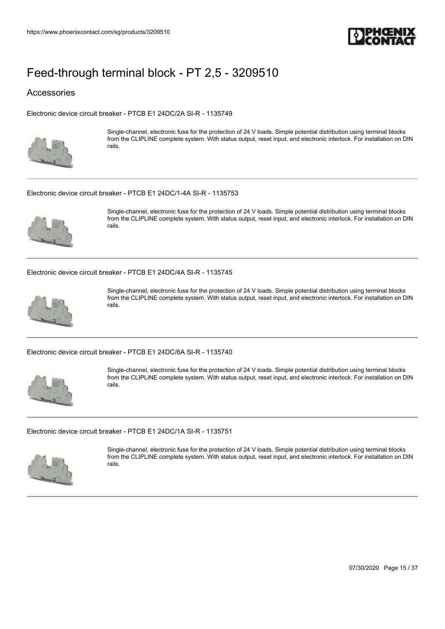

#### Accessories

[Electronic device circuit breaker - PTCB E1 24DC/2A SI-R - 1135749](https://www.phoenixcontact.com/sg/products/1135749)



Single-channel, electronic fuse for the protection of 24 V loads. Simple potential distribution using terminal blocks from the CLIPLINE complete system. With status output, reset input, and electronic interlock. For installation on DIN rails.

#### [Electronic device circuit breaker - PTCB E1 24DC/1-4A SI-R - 1135753](https://www.phoenixcontact.com/sg/products/1135753)



Single-channel, electronic fuse for the protection of 24 V loads. Simple potential distribution using terminal blocks from the CLIPLINE complete system. With status output, reset input, and electronic interlock. For installation on DIN rails.

[Electronic device circuit breaker - PTCB E1 24DC/4A SI-R - 1135745](https://www.phoenixcontact.com/sg/products/1135745)



Single-channel, electronic fuse for the protection of 24 V loads. Simple potential distribution using terminal blocks from the CLIPLINE complete system. With status output, reset input, and electronic interlock. For installation on DIN rails.

[Electronic device circuit breaker - PTCB E1 24DC/6A SI-R - 1135740](https://www.phoenixcontact.com/sg/products/1135740)



Single-channel, electronic fuse for the protection of 24 V loads. Simple potential distribution using terminal blocks from the CLIPLINE complete system. With status output, reset input, and electronic interlock. For installation on DIN rails.

#### [Electronic device circuit breaker - PTCB E1 24DC/1A SI-R - 1135751](https://www.phoenixcontact.com/sg/products/1135751)



Single-channel, electronic fuse for the protection of 24 V loads. Simple potential distribution using terminal blocks from the CLIPLINE complete system. With status output, reset input, and electronic interlock. For installation on DIN rails.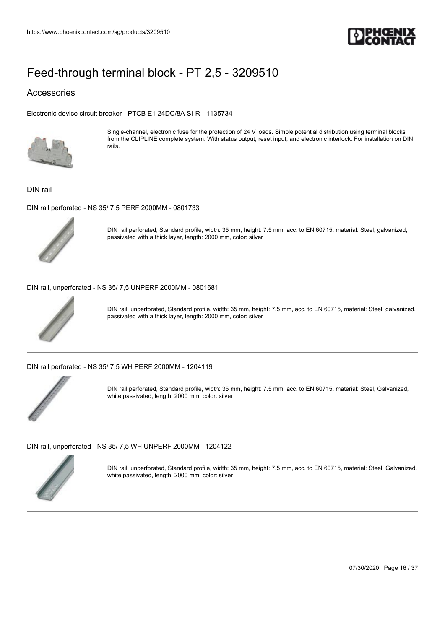

### Accessories

[Electronic device circuit breaker - PTCB E1 24DC/8A SI-R - 1135734](https://www.phoenixcontact.com/sg/products/1135734)



Single-channel, electronic fuse for the protection of 24 V loads. Simple potential distribution using terminal blocks from the CLIPLINE complete system. With status output, reset input, and electronic interlock. For installation on DIN rails.

DIN rail

[DIN rail perforated - NS 35/ 7,5 PERF 2000MM - 0801733](https://www.phoenixcontact.com/sg/products/0801733)



DIN rail perforated, Standard profile, width: 35 mm, height: 7.5 mm, acc. to EN 60715, material: Steel, galvanized, passivated with a thick layer, length: 2000 mm, color: silver

[DIN rail, unperforated - NS 35/ 7,5 UNPERF 2000MM - 0801681](https://www.phoenixcontact.com/sg/products/0801681)



DIN rail, unperforated, Standard profile, width: 35 mm, height: 7.5 mm, acc. to EN 60715, material: Steel, galvanized, passivated with a thick layer, length: 2000 mm, color: silver

[DIN rail perforated - NS 35/ 7,5 WH PERF 2000MM - 1204119](https://www.phoenixcontact.com/sg/products/1204119)



DIN rail perforated, Standard profile, width: 35 mm, height: 7.5 mm, acc. to EN 60715, material: Steel, Galvanized, white passivated, length: 2000 mm, color: silver

[DIN rail, unperforated - NS 35/ 7,5 WH UNPERF 2000MM - 1204122](https://www.phoenixcontact.com/sg/products/1204122)



DIN rail, unperforated, Standard profile, width: 35 mm, height: 7.5 mm, acc. to EN 60715, material: Steel, Galvanized, white passivated, length: 2000 mm, color: silver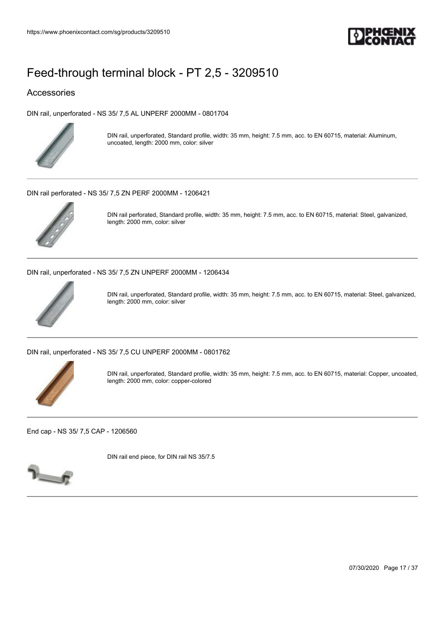

### Accessories

[DIN rail, unperforated - NS 35/ 7,5 AL UNPERF 2000MM - 0801704](https://www.phoenixcontact.com/sg/products/0801704)



DIN rail, unperforated, Standard profile, width: 35 mm, height: 7.5 mm, acc. to EN 60715, material: Aluminum, uncoated, length: 2000 mm, color: silver

[DIN rail perforated - NS 35/ 7,5 ZN PERF 2000MM - 1206421](https://www.phoenixcontact.com/sg/products/1206421)



DIN rail perforated, Standard profile, width: 35 mm, height: 7.5 mm, acc. to EN 60715, material: Steel, galvanized, length: 2000 mm, color: silver

[DIN rail, unperforated - NS 35/ 7,5 ZN UNPERF 2000MM - 1206434](https://www.phoenixcontact.com/sg/products/1206434)



DIN rail, unperforated, Standard profile, width: 35 mm, height: 7.5 mm, acc. to EN 60715, material: Steel, galvanized, length: 2000 mm, color: silver

[DIN rail, unperforated - NS 35/ 7,5 CU UNPERF 2000MM - 0801762](https://www.phoenixcontact.com/sg/products/0801762)



DIN rail, unperforated, Standard profile, width: 35 mm, height: 7.5 mm, acc. to EN 60715, material: Copper, uncoated, length: 2000 mm, color: copper-colored

[End cap - NS 35/ 7,5 CAP - 1206560](https://www.phoenixcontact.com/sg/products/1206560)



DIN rail end piece, for DIN rail NS 35/7.5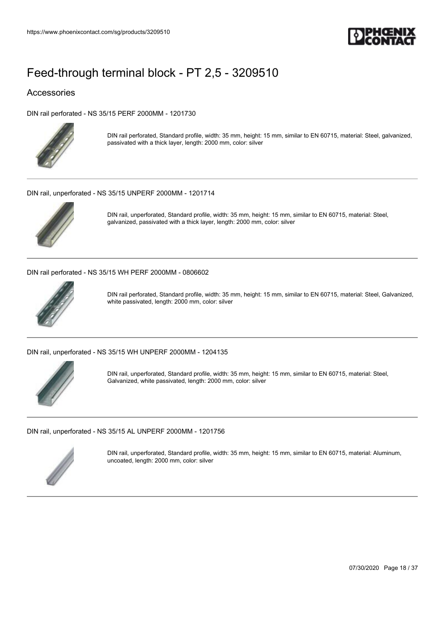

### Accessories

[DIN rail perforated - NS 35/15 PERF 2000MM - 1201730](https://www.phoenixcontact.com/sg/products/1201730)



DIN rail perforated, Standard profile, width: 35 mm, height: 15 mm, similar to EN 60715, material: Steel, galvanized, passivated with a thick layer, length: 2000 mm, color: silver

[DIN rail, unperforated - NS 35/15 UNPERF 2000MM - 1201714](https://www.phoenixcontact.com/sg/products/1201714)



DIN rail, unperforated, Standard profile, width: 35 mm, height: 15 mm, similar to EN 60715, material: Steel, galvanized, passivated with a thick layer, length: 2000 mm, color: silver

[DIN rail perforated - NS 35/15 WH PERF 2000MM - 0806602](https://www.phoenixcontact.com/sg/products/0806602)



DIN rail perforated, Standard profile, width: 35 mm, height: 15 mm, similar to EN 60715, material: Steel, Galvanized, white passivated, length: 2000 mm, color: silver

[DIN rail, unperforated - NS 35/15 WH UNPERF 2000MM - 1204135](https://www.phoenixcontact.com/sg/products/1204135)



DIN rail, unperforated, Standard profile, width: 35 mm, height: 15 mm, similar to EN 60715, material: Steel, Galvanized, white passivated, length: 2000 mm, color: silver

[DIN rail, unperforated - NS 35/15 AL UNPERF 2000MM - 1201756](https://www.phoenixcontact.com/sg/products/1201756)



DIN rail, unperforated, Standard profile, width: 35 mm, height: 15 mm, similar to EN 60715, material: Aluminum, uncoated, length: 2000 mm, color: silver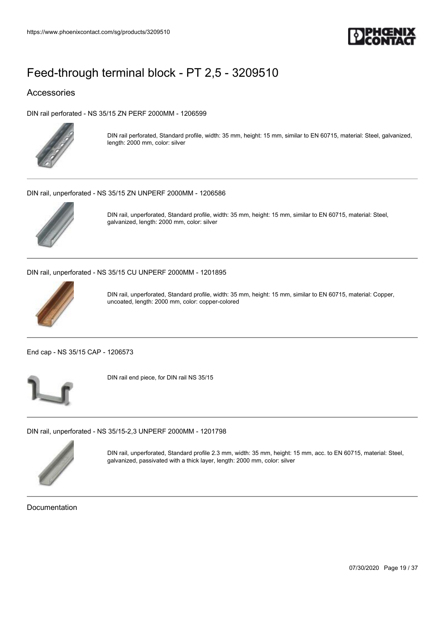

### Accessories

[DIN rail perforated - NS 35/15 ZN PERF 2000MM - 1206599](https://www.phoenixcontact.com/sg/products/1206599)



DIN rail perforated, Standard profile, width: 35 mm, height: 15 mm, similar to EN 60715, material: Steel, galvanized, length: 2000 mm, color: silver

[DIN rail, unperforated - NS 35/15 ZN UNPERF 2000MM - 1206586](https://www.phoenixcontact.com/sg/products/1206586)



DIN rail, unperforated, Standard profile, width: 35 mm, height: 15 mm, similar to EN 60715, material: Steel, galvanized, length: 2000 mm, color: silver

[DIN rail, unperforated - NS 35/15 CU UNPERF 2000MM - 1201895](https://www.phoenixcontact.com/sg/products/1201895)



DIN rail, unperforated, Standard profile, width: 35 mm, height: 15 mm, similar to EN 60715, material: Copper, uncoated, length: 2000 mm, color: copper-colored

[End cap - NS 35/15 CAP - 1206573](https://www.phoenixcontact.com/sg/products/1206573)



DIN rail end piece, for DIN rail NS 35/15

[DIN rail, unperforated - NS 35/15-2,3 UNPERF 2000MM - 1201798](https://www.phoenixcontact.com/sg/products/1201798)



DIN rail, unperforated, Standard profile 2.3 mm, width: 35 mm, height: 15 mm, acc. to EN 60715, material: Steel, galvanized, passivated with a thick layer, length: 2000 mm, color: silver

Documentation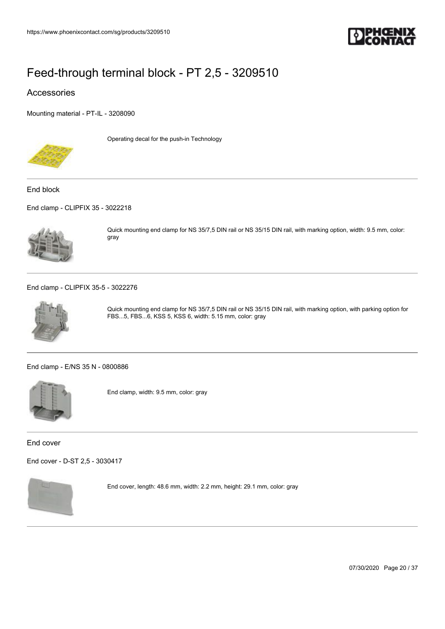

### Accessories

[Mounting material - PT-IL - 3208090](https://www.phoenixcontact.com/sg/products/3208090)



Operating decal for the push-in Technology

End block

[End clamp - CLIPFIX 35 - 3022218](https://www.phoenixcontact.com/sg/products/3022218)



Quick mounting end clamp for NS 35/7,5 DIN rail or NS 35/15 DIN rail, with marking option, width: 9.5 mm, color: gray

#### [End clamp - CLIPFIX 35-5 - 3022276](https://www.phoenixcontact.com/sg/products/3022276)



Quick mounting end clamp for NS 35/7,5 DIN rail or NS 35/15 DIN rail, with marking option, with parking option for FBS...5, FBS...6, KSS 5, KSS 6, width: 5.15 mm, color: gray

[End clamp - E/NS 35 N - 0800886](https://www.phoenixcontact.com/sg/products/0800886)



End clamp, width: 9.5 mm, color: gray

End cover

[End cover - D-ST 2,5 - 3030417](https://www.phoenixcontact.com/sg/products/3030417)



End cover, length: 48.6 mm, width: 2.2 mm, height: 29.1 mm, color: gray

07/30/2020 Page 20 / 37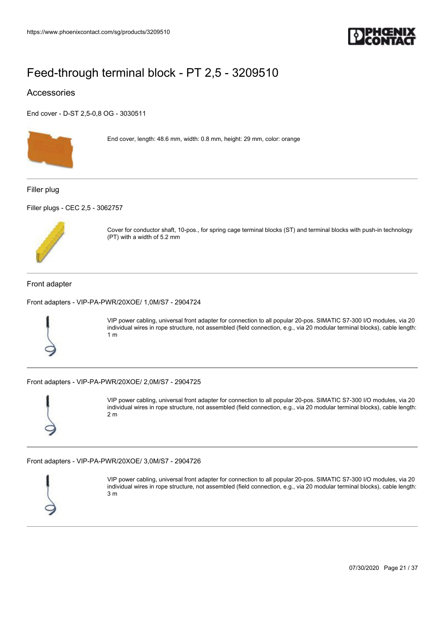

### Accessories

[End cover - D-ST 2,5-0,8 OG - 3030511](https://www.phoenixcontact.com/sg/products/3030511)



End cover, length: 48.6 mm, width: 0.8 mm, height: 29 mm, color: orange

Filler plug

[Filler plugs - CEC 2,5 - 3062757](https://www.phoenixcontact.com/sg/products/3062757)



Cover for conductor shaft, 10-pos., for spring cage terminal blocks (ST) and terminal blocks with push-in technology (PT) with a width of 5.2 mm

#### Front adapter

[Front adapters - VIP-PA-PWR/20XOE/ 1,0M/S7 - 2904724](https://www.phoenixcontact.com/sg/products/2904724)



VIP power cabling, universal front adapter for connection to all popular 20-pos. SIMATIC S7-300 I/O modules, via 20 individual wires in rope structure, not assembled (field connection, e.g., via 20 modular terminal blocks), cable length: 1 m

[Front adapters - VIP-PA-PWR/20XOE/ 2,0M/S7 - 2904725](https://www.phoenixcontact.com/sg/products/2904725)



VIP power cabling, universal front adapter for connection to all popular 20-pos. SIMATIC S7-300 I/O modules, via 20 individual wires in rope structure, not assembled (field connection, e.g., via 20 modular terminal blocks), cable length: 2 m

[Front adapters - VIP-PA-PWR/20XOE/ 3,0M/S7 - 2904726](https://www.phoenixcontact.com/sg/products/2904726)



VIP power cabling, universal front adapter for connection to all popular 20-pos. SIMATIC S7-300 I/O modules, via 20 individual wires in rope structure, not assembled (field connection, e.g., via 20 modular terminal blocks), cable length: 3 m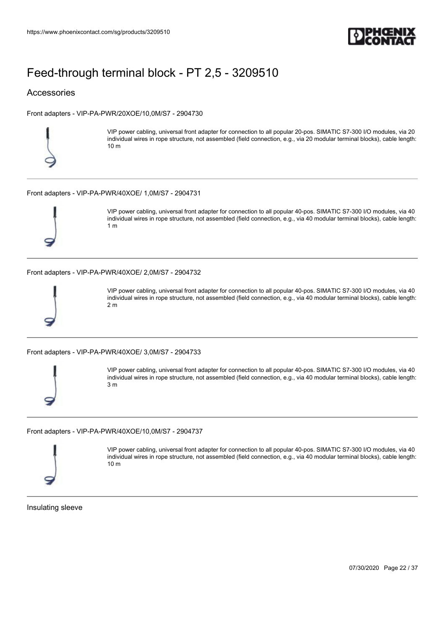

### Accessories

[Front adapters - VIP-PA-PWR/20XOE/10,0M/S7 - 2904730](https://www.phoenixcontact.com/sg/products/2904730)



VIP power cabling, universal front adapter for connection to all popular 20-pos. SIMATIC S7-300 I/O modules, via 20 individual wires in rope structure, not assembled (field connection, e.g., via 20 modular terminal blocks), cable length: 10 m

#### [Front adapters - VIP-PA-PWR/40XOE/ 1,0M/S7 - 2904731](https://www.phoenixcontact.com/sg/products/2904731)



VIP power cabling, universal front adapter for connection to all popular 40-pos. SIMATIC S7-300 I/O modules, via 40 individual wires in rope structure, not assembled (field connection, e.g., via 40 modular terminal blocks), cable length: 1 m

[Front adapters - VIP-PA-PWR/40XOE/ 2,0M/S7 - 2904732](https://www.phoenixcontact.com/sg/products/2904732)



VIP power cabling, universal front adapter for connection to all popular 40-pos. SIMATIC S7-300 I/O modules, via 40 individual wires in rope structure, not assembled (field connection, e.g., via 40 modular terminal blocks), cable length: 2 m

[Front adapters - VIP-PA-PWR/40XOE/ 3,0M/S7 - 2904733](https://www.phoenixcontact.com/sg/products/2904733)



VIP power cabling, universal front adapter for connection to all popular 40-pos. SIMATIC S7-300 I/O modules, via 40 individual wires in rope structure, not assembled (field connection, e.g., via 40 modular terminal blocks), cable length: 3 m

[Front adapters - VIP-PA-PWR/40XOE/10,0M/S7 - 2904737](https://www.phoenixcontact.com/sg/products/2904737)



VIP power cabling, universal front adapter for connection to all popular 40-pos. SIMATIC S7-300 I/O modules, via 40 individual wires in rope structure, not assembled (field connection, e.g., via 40 modular terminal blocks), cable length: 10 m

Insulating sleeve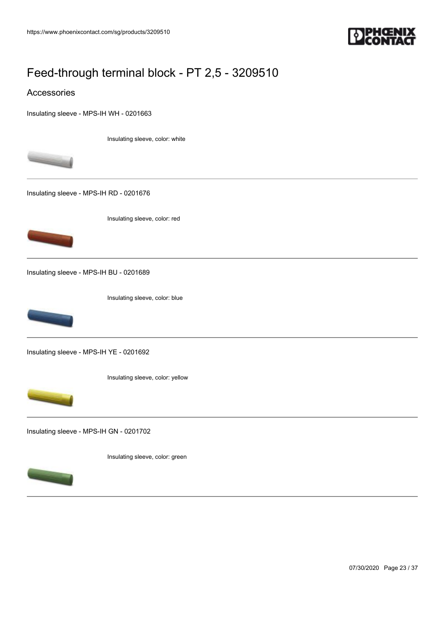

#### Accessories

[Insulating sleeve - MPS-IH WH - 0201663](https://www.phoenixcontact.com/sg/products/0201663)

Insulating sleeve, color: white



[Insulating sleeve - MPS-IH RD - 0201676](https://www.phoenixcontact.com/sg/products/0201676)





[Insulating sleeve - MPS-IH BU - 0201689](https://www.phoenixcontact.com/sg/products/0201689)

Insulating sleeve, color: blue



[Insulating sleeve - MPS-IH YE - 0201692](https://www.phoenixcontact.com/sg/products/0201692)

Insulating sleeve, color: yellow



[Insulating sleeve - MPS-IH GN - 0201702](https://www.phoenixcontact.com/sg/products/0201702)

Insulating sleeve, color: green



07/30/2020 Page 23 / 37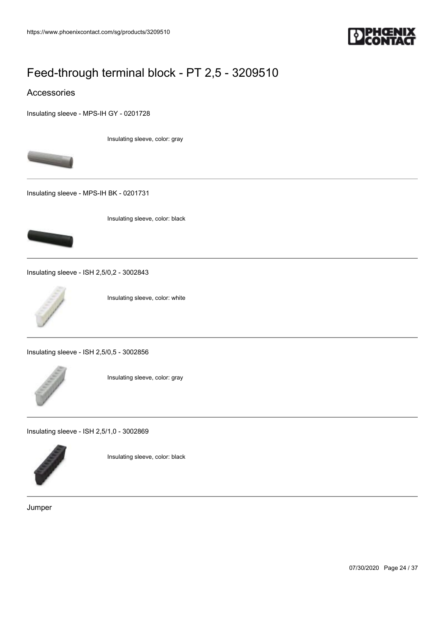

#### Accessories

[Insulating sleeve - MPS-IH GY - 0201728](https://www.phoenixcontact.com/sg/products/0201728)

Insulating sleeve, color: gray



[Insulating sleeve - MPS-IH BK - 0201731](https://www.phoenixcontact.com/sg/products/0201731)



Insulating sleeve, color: black

[Insulating sleeve - ISH 2,5/0,2 - 3002843](https://www.phoenixcontact.com/sg/products/3002843)



Insulating sleeve, color: white

[Insulating sleeve - ISH 2,5/0,5 - 3002856](https://www.phoenixcontact.com/sg/products/3002856)



Insulating sleeve, color: gray

[Insulating sleeve - ISH 2,5/1,0 - 3002869](https://www.phoenixcontact.com/sg/products/3002869)



Insulating sleeve, color: black

Jumper

07/30/2020 Page 24 / 37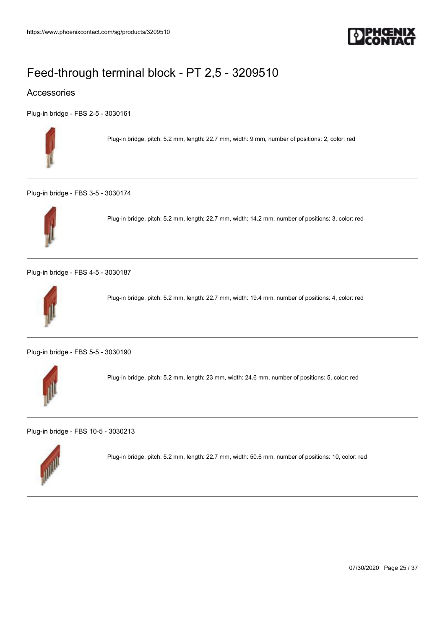

### Accessories

[Plug-in bridge - FBS 2-5 - 3030161](https://www.phoenixcontact.com/sg/products/3030161)



Plug-in bridge, pitch: 5.2 mm, length: 22.7 mm, width: 9 mm, number of positions: 2, color: red

[Plug-in bridge - FBS 3-5 - 3030174](https://www.phoenixcontact.com/sg/products/3030174)



Plug-in bridge, pitch: 5.2 mm, length: 22.7 mm, width: 14.2 mm, number of positions: 3, color: red

[Plug-in bridge - FBS 4-5 - 3030187](https://www.phoenixcontact.com/sg/products/3030187)



Plug-in bridge, pitch: 5.2 mm, length: 22.7 mm, width: 19.4 mm, number of positions: 4, color: red

[Plug-in bridge - FBS 5-5 - 3030190](https://www.phoenixcontact.com/sg/products/3030190)



Plug-in bridge, pitch: 5.2 mm, length: 23 mm, width: 24.6 mm, number of positions: 5, color: red

[Plug-in bridge - FBS 10-5 - 3030213](https://www.phoenixcontact.com/sg/products/3030213)



Plug-in bridge, pitch: 5.2 mm, length: 22.7 mm, width: 50.6 mm, number of positions: 10, color: red

07/30/2020 Page 25 / 37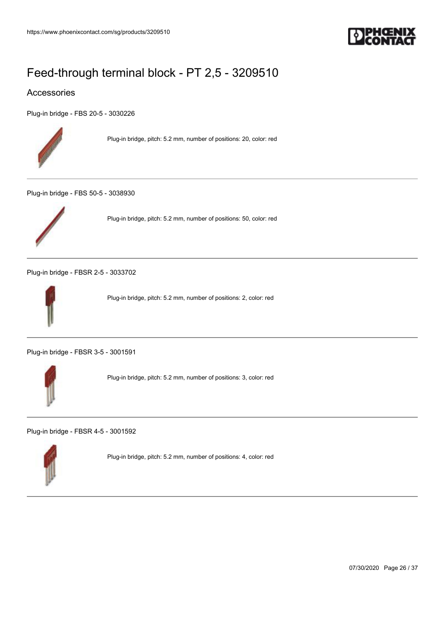

### Accessories

[Plug-in bridge - FBS 20-5 - 3030226](https://www.phoenixcontact.com/sg/products/3030226)



Plug-in bridge, pitch: 5.2 mm, number of positions: 20, color: red

[Plug-in bridge - FBS 50-5 - 3038930](https://www.phoenixcontact.com/sg/products/3038930)



Plug-in bridge, pitch: 5.2 mm, number of positions: 50, color: red

[Plug-in bridge - FBSR 2-5 - 3033702](https://www.phoenixcontact.com/sg/products/3033702)



Plug-in bridge, pitch: 5.2 mm, number of positions: 2, color: red

[Plug-in bridge - FBSR 3-5 - 3001591](https://www.phoenixcontact.com/sg/products/3001591)



Plug-in bridge, pitch: 5.2 mm, number of positions: 3, color: red

[Plug-in bridge - FBSR 4-5 - 3001592](https://www.phoenixcontact.com/sg/products/3001592)



Plug-in bridge, pitch: 5.2 mm, number of positions: 4, color: red

07/30/2020 Page 26 / 37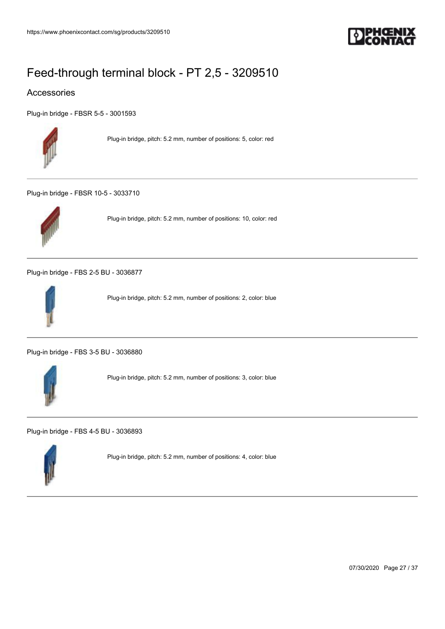

### Accessories

[Plug-in bridge - FBSR 5-5 - 3001593](https://www.phoenixcontact.com/sg/products/3001593)



Plug-in bridge, pitch: 5.2 mm, number of positions: 5, color: red

[Plug-in bridge - FBSR 10-5 - 3033710](https://www.phoenixcontact.com/sg/products/3033710)



Plug-in bridge, pitch: 5.2 mm, number of positions: 10, color: red

[Plug-in bridge - FBS 2-5 BU - 3036877](https://www.phoenixcontact.com/sg/products/3036877)



Plug-in bridge, pitch: 5.2 mm, number of positions: 2, color: blue

[Plug-in bridge - FBS 3-5 BU - 3036880](https://www.phoenixcontact.com/sg/products/3036880)



Plug-in bridge, pitch: 5.2 mm, number of positions: 3, color: blue

[Plug-in bridge - FBS 4-5 BU - 3036893](https://www.phoenixcontact.com/sg/products/3036893)



Plug-in bridge, pitch: 5.2 mm, number of positions: 4, color: blue

07/30/2020 Page 27 / 37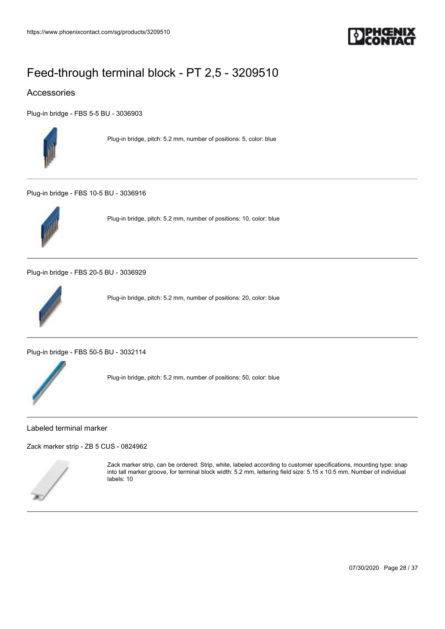

### Accessories

[Plug-in bridge - FBS 5-5 BU - 3036903](https://www.phoenixcontact.com/sg/products/3036903)



Plug-in bridge, pitch: 5.2 mm, number of positions: 5, color: blue

[Plug-in bridge - FBS 10-5 BU - 3036916](https://www.phoenixcontact.com/sg/products/3036916)



Plug-in bridge, pitch: 5.2 mm, number of positions: 10, color: blue

[Plug-in bridge - FBS 20-5 BU - 3036929](https://www.phoenixcontact.com/sg/products/3036929)



Plug-in bridge, pitch: 5.2 mm, number of positions: 20, color: blue

[Plug-in bridge - FBS 50-5 BU - 3032114](https://www.phoenixcontact.com/sg/products/3032114)



Plug-in bridge, pitch: 5.2 mm, number of positions: 50, color: blue

Labeled terminal marker

[Zack marker strip - ZB 5 CUS - 0824962](https://www.phoenixcontact.com/sg/products/0824962)



Zack marker strip, can be ordered: Strip, white, labeled according to customer specifications, mounting type: snap into tall marker groove, for terminal block width: 5.2 mm, lettering field size: 5.15 x 10.5 mm, Number of individual labels: 10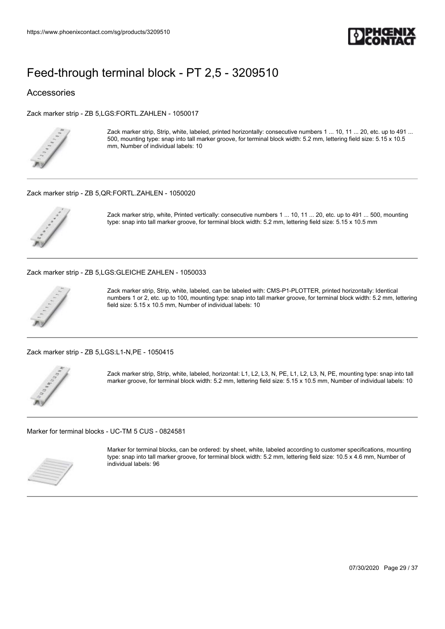

#### Accessories

[Zack marker strip - ZB 5,LGS:FORTL.ZAHLEN - 1050017](https://www.phoenixcontact.com/sg/products/1050017)



Zack marker strip, Strip, white, labeled, printed horizontally: consecutive numbers 1 ... 10, 11 ... 20, etc. up to 491 ... 500, mounting type: snap into tall marker groove, for terminal block width: 5.2 mm, lettering field size: 5.15 x 10.5 mm, Number of individual labels: 10

#### [Zack marker strip - ZB 5,QR:FORTL.ZAHLEN - 1050020](https://www.phoenixcontact.com/sg/products/1050020)



Zack marker strip, white, Printed vertically: consecutive numbers 1 ... 10, 11 ... 20, etc. up to 491 ... 500, mounting type: snap into tall marker groove, for terminal block width: 5.2 mm, lettering field size: 5.15 x 10.5 mm

#### [Zack marker strip - ZB 5,LGS:GLEICHE ZAHLEN - 1050033](https://www.phoenixcontact.com/sg/products/1050033)



Zack marker strip, Strip, white, labeled, can be labeled with: CMS-P1-PLOTTER, printed horizontally: Identical numbers 1 or 2, etc. up to 100, mounting type: snap into tall marker groove, for terminal block width: 5.2 mm, lettering field size: 5.15 x 10.5 mm, Number of individual labels: 10

[Zack marker strip - ZB 5,LGS:L1-N,PE - 1050415](https://www.phoenixcontact.com/sg/products/1050415)



Zack marker strip, Strip, white, labeled, horizontal: L1, L2, L3, N, PE, L1, L2, L3, N, PE, mounting type: snap into tall marker groove, for terminal block width: 5.2 mm, lettering field size: 5.15 x 10.5 mm, Number of individual labels: 10

[Marker for terminal blocks - UC-TM 5 CUS - 0824581](https://www.phoenixcontact.com/sg/products/0824581)



Marker for terminal blocks, can be ordered: by sheet, white, labeled according to customer specifications, mounting type: snap into tall marker groove, for terminal block width: 5.2 mm, lettering field size: 10.5 x 4.6 mm, Number of individual labels: 96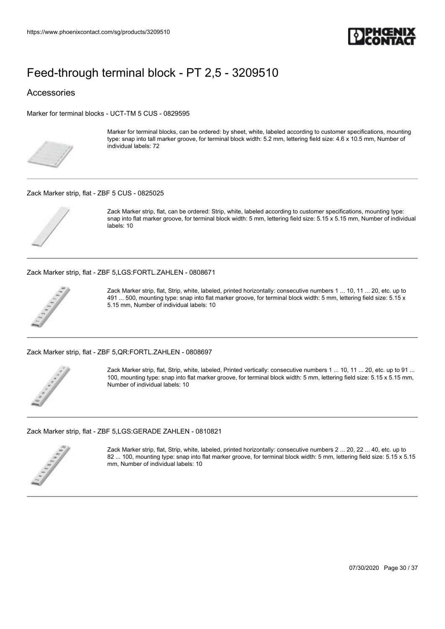

#### Accessories

[Marker for terminal blocks - UCT-TM 5 CUS - 0829595](https://www.phoenixcontact.com/sg/products/0829595)



Marker for terminal blocks, can be ordered: by sheet, white, labeled according to customer specifications, mounting type: snap into tall marker groove, for terminal block width: 5.2 mm, lettering field size: 4.6 x 10.5 mm, Number of individual labels: 72

#### [Zack Marker strip, flat - ZBF 5 CUS - 0825025](https://www.phoenixcontact.com/sg/products/0825025)



Zack Marker strip, flat, can be ordered: Strip, white, labeled according to customer specifications, mounting type: snap into flat marker groove, for terminal block width: 5 mm, lettering field size: 5.15 x 5.15 mm, Number of individual labels: 10

[Zack Marker strip, flat - ZBF 5,LGS:FORTL.ZAHLEN - 0808671](https://www.phoenixcontact.com/sg/products/0808671)



Zack Marker strip, flat, Strip, white, labeled, printed horizontally: consecutive numbers 1 ... 10, 11 ... 20, etc. up to 491 ... 500, mounting type: snap into flat marker groove, for terminal block width: 5 mm, lettering field size: 5.15 x 5.15 mm, Number of individual labels: 10

[Zack Marker strip, flat - ZBF 5,QR:FORTL.ZAHLEN - 0808697](https://www.phoenixcontact.com/sg/products/0808697)



Zack Marker strip, flat, Strip, white, labeled, Printed vertically: consecutive numbers 1 ... 10, 11 ... 20, etc. up to 91 ... 100, mounting type: snap into flat marker groove, for terminal block width: 5 mm, lettering field size: 5.15 x 5.15 mm, Number of individual labels: 10

[Zack Marker strip, flat - ZBF 5,LGS:GERADE ZAHLEN - 0810821](https://www.phoenixcontact.com/sg/products/0810821)



Zack Marker strip, flat, Strip, white, labeled, printed horizontally: consecutive numbers 2 ... 20, 22 ... 40, etc. up to 82 ... 100, mounting type: snap into flat marker groove, for terminal block width: 5 mm, lettering field size: 5.15 x 5.15 mm, Number of individual labels: 10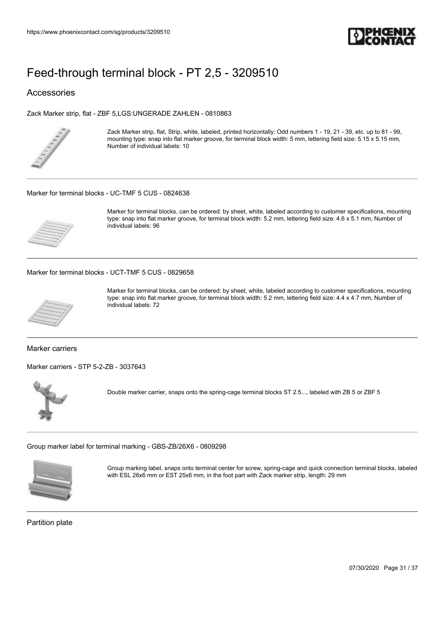

### Accessories

[Zack Marker strip, flat - ZBF 5,LGS:UNGERADE ZAHLEN - 0810863](https://www.phoenixcontact.com/sg/products/0810863)



Zack Marker strip, flat, Strip, white, labeled, printed horizontally: Odd numbers 1 - 19, 21 - 39, etc. up to 81 - 99, mounting type: snap into flat marker groove, for terminal block width: 5 mm, lettering field size: 5.15 x 5.15 mm, Number of individual labels: 10

#### [Marker for terminal blocks - UC-TMF 5 CUS - 0824638](https://www.phoenixcontact.com/sg/products/0824638)



Marker for terminal blocks, can be ordered: by sheet, white, labeled according to customer specifications, mounting type: snap into flat marker groove, for terminal block width: 5.2 mm, lettering field size: 4.6 x 5.1 mm, Number of individual labels: 96

[Marker for terminal blocks - UCT-TMF 5 CUS - 0829658](https://www.phoenixcontact.com/sg/products/0829658)



Marker for terminal blocks, can be ordered: by sheet, white, labeled according to customer specifications, mounting type: snap into flat marker groove, for terminal block width: 5.2 mm, lettering field size: 4.4 x 4.7 mm, Number of individual labels: 72

Marker carriers

[Marker carriers - STP 5-2-ZB - 3037643](https://www.phoenixcontact.com/sg/products/3037643)



Double marker carrier, snaps onto the spring-cage terminal blocks ST 2.5..., labeled with ZB 5 or ZBF 5

[Group marker label for terminal marking - GBS-ZB/26X6 - 0809298](https://www.phoenixcontact.com/sg/products/0809298)



Group marking label, snaps onto terminal center for screw, spring-cage and quick connection terminal blocks, labeled with ESL 26x6 mm or EST 25x6 mm, in the foot part with Zack marker strip, length: 29 mm

Partition plate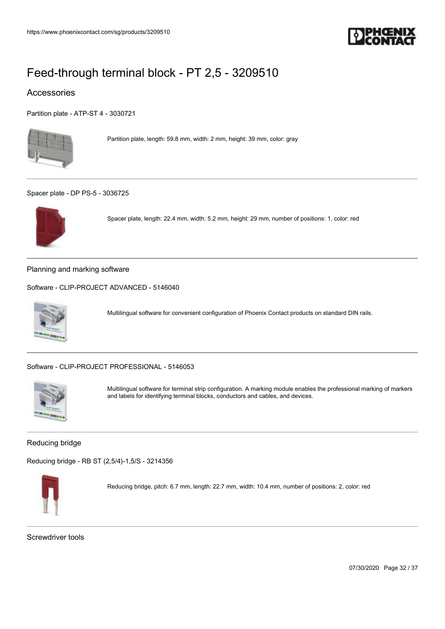

### Accessories

[Partition plate - ATP-ST 4 - 3030721](https://www.phoenixcontact.com/sg/products/3030721)



Partition plate, length: 59.8 mm, width: 2 mm, height: 39 mm, color: gray

[Spacer plate - DP PS-5 - 3036725](https://www.phoenixcontact.com/sg/products/3036725)



Spacer plate, length: 22.4 mm, width: 5.2 mm, height: 29 mm, number of positions: 1, color: red

Planning and marking software

[Software - CLIP-PROJECT ADVANCED - 5146040](https://www.phoenixcontact.com/sg/products/5146040)



Multilingual software for convenient configuration of Phoenix Contact products on standard DIN rails.

[Software - CLIP-PROJECT PROFESSIONAL - 5146053](https://www.phoenixcontact.com/sg/products/5146053)



Multilingual software for terminal strip configuration. A marking module enables the professional marking of markers and labels for identifying terminal blocks, conductors and cables, and devices.

#### Reducing bridge

[Reducing bridge - RB ST \(2,5/4\)-1,5/S - 3214356](https://www.phoenixcontact.com/sg/products/3214356)



Reducing bridge, pitch: 6.7 mm, length: 22.7 mm, width: 10.4 mm, number of positions: 2, color: red

Screwdriver tools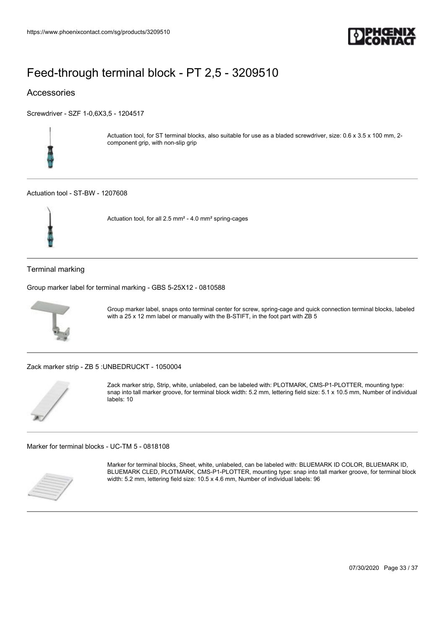

### Accessories

[Screwdriver - SZF 1-0,6X3,5 - 1204517](https://www.phoenixcontact.com/sg/products/1204517)



Actuation tool, for ST terminal blocks, also suitable for use as a bladed screwdriver, size: 0.6 x 3.5 x 100 mm, 2component grip, with non-slip grip

#### [Actuation tool - ST-BW - 1207608](https://www.phoenixcontact.com/sg/products/1207608)



Actuation tool, for all 2.5 mm² - 4.0 mm² spring-cages

Terminal marking

[Group marker label for terminal marking - GBS 5-25X12 - 0810588](https://www.phoenixcontact.com/sg/products/0810588)



Group marker label, snaps onto terminal center for screw, spring-cage and quick connection terminal blocks, labeled with a 25 x 12 mm label or manually with the B-STIFT, in the foot part with ZB 5

[Zack marker strip - ZB 5 :UNBEDRUCKT - 1050004](https://www.phoenixcontact.com/sg/products/1050004)



Zack marker strip, Strip, white, unlabeled, can be labeled with: PLOTMARK, CMS-P1-PLOTTER, mounting type: snap into tall marker groove, for terminal block width: 5.2 mm, lettering field size: 5.1 x 10.5 mm, Number of individual labels: 10

[Marker for terminal blocks - UC-TM 5 - 0818108](https://www.phoenixcontact.com/sg/products/0818108)



Marker for terminal blocks, Sheet, white, unlabeled, can be labeled with: BLUEMARK ID COLOR, BLUEMARK ID, BLUEMARK CLED, PLOTMARK, CMS-P1-PLOTTER, mounting type: snap into tall marker groove, for terminal block width: 5.2 mm, lettering field size: 10.5 x 4.6 mm, Number of individual labels: 96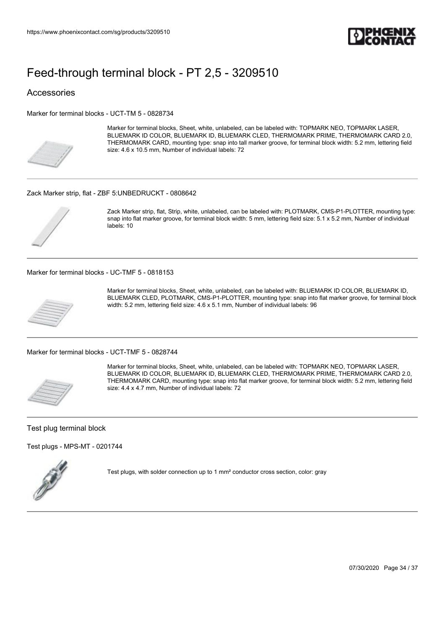

#### Accessories

[Marker for terminal blocks - UCT-TM 5 - 0828734](https://www.phoenixcontact.com/sg/products/0828734)



Marker for terminal blocks, Sheet, white, unlabeled, can be labeled with: TOPMARK NEO, TOPMARK LASER, BLUEMARK ID COLOR, BLUEMARK ID, BLUEMARK CLED, THERMOMARK PRIME, THERMOMARK CARD 2.0, THERMOMARK CARD, mounting type: snap into tall marker groove, for terminal block width: 5.2 mm, lettering field size: 4.6 x 10.5 mm, Number of individual labels: 72

#### [Zack Marker strip, flat - ZBF 5:UNBEDRUCKT - 0808642](https://www.phoenixcontact.com/sg/products/0808642)



Zack Marker strip, flat, Strip, white, unlabeled, can be labeled with: PLOTMARK, CMS-P1-PLOTTER, mounting type: snap into flat marker groove, for terminal block width: 5 mm, lettering field size: 5.1 x 5.2 mm, Number of individual labels: 10

[Marker for terminal blocks - UC-TMF 5 - 0818153](https://www.phoenixcontact.com/sg/products/0818153)



Marker for terminal blocks, Sheet, white, unlabeled, can be labeled with: BLUEMARK ID COLOR, BLUEMARK ID, BLUEMARK CLED, PLOTMARK, CMS-P1-PLOTTER, mounting type: snap into flat marker groove, for terminal block width: 5.2 mm, lettering field size: 4.6 x 5.1 mm, Number of individual labels: 96

[Marker for terminal blocks - UCT-TMF 5 - 0828744](https://www.phoenixcontact.com/sg/products/0828744)



Marker for terminal blocks, Sheet, white, unlabeled, can be labeled with: TOPMARK NEO, TOPMARK LASER, BLUEMARK ID COLOR, BLUEMARK ID, BLUEMARK CLED, THERMOMARK PRIME, THERMOMARK CARD 2.0, THERMOMARK CARD, mounting type: snap into flat marker groove, for terminal block width: 5.2 mm, lettering field size: 4.4 x 4.7 mm, Number of individual labels: 72

#### Test plug terminal block

[Test plugs - MPS-MT - 0201744](https://www.phoenixcontact.com/sg/products/0201744)



Test plugs, with solder connection up to 1 mm² conductor cross section, color: gray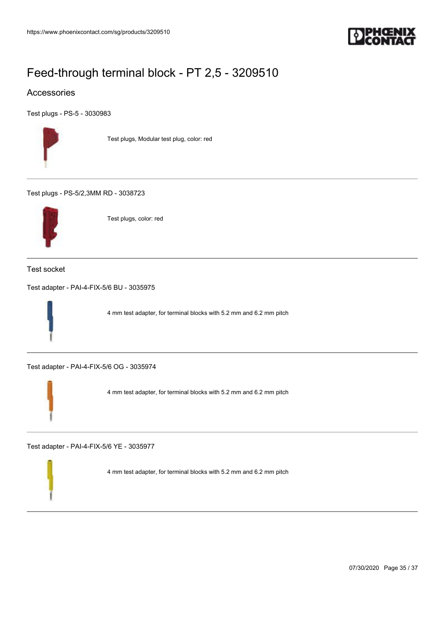

### Accessories

[Test plugs - PS-5 - 3030983](https://www.phoenixcontact.com/sg/products/3030983)



Test plugs, Modular test plug, color: red

[Test plugs - PS-5/2,3MM RD - 3038723](https://www.phoenixcontact.com/sg/products/3038723)



Test plugs, color: red

Test socket

[Test adapter - PAI-4-FIX-5/6 BU - 3035975](https://www.phoenixcontact.com/sg/products/3035975)



4 mm test adapter, for terminal blocks with 5.2 mm and 6.2 mm pitch

[Test adapter - PAI-4-FIX-5/6 OG - 3035974](https://www.phoenixcontact.com/sg/products/3035974)



4 mm test adapter, for terminal blocks with 5.2 mm and 6.2 mm pitch

[Test adapter - PAI-4-FIX-5/6 YE - 3035977](https://www.phoenixcontact.com/sg/products/3035977)

4 mm test adapter, for terminal blocks with 5.2 mm and 6.2 mm pitch

07/30/2020 Page 35 / 37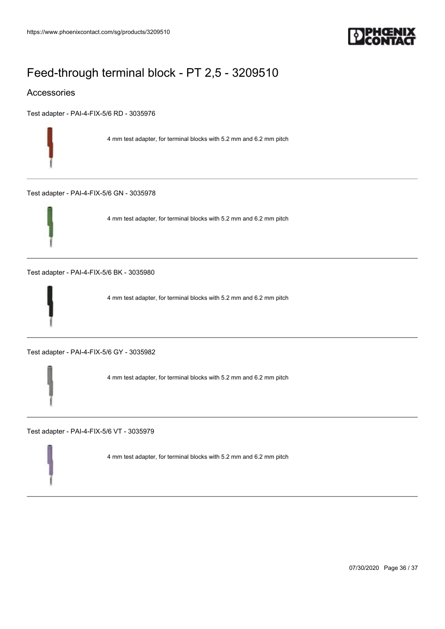

### Accessories

[Test adapter - PAI-4-FIX-5/6 RD - 3035976](https://www.phoenixcontact.com/sg/products/3035976)

4 mm test adapter, for terminal blocks with 5.2 mm and 6.2 mm pitch

[Test adapter - PAI-4-FIX-5/6 GN - 3035978](https://www.phoenixcontact.com/sg/products/3035978)



4 mm test adapter, for terminal blocks with 5.2 mm and 6.2 mm pitch

[Test adapter - PAI-4-FIX-5/6 BK - 3035980](https://www.phoenixcontact.com/sg/products/3035980)



4 mm test adapter, for terminal blocks with 5.2 mm and 6.2 mm pitch

[Test adapter - PAI-4-FIX-5/6 GY - 3035982](https://www.phoenixcontact.com/sg/products/3035982)

4 mm test adapter, for terminal blocks with 5.2 mm and 6.2 mm pitch

[Test adapter - PAI-4-FIX-5/6 VT - 3035979](https://www.phoenixcontact.com/sg/products/3035979)

4 mm test adapter, for terminal blocks with 5.2 mm and 6.2 mm pitch